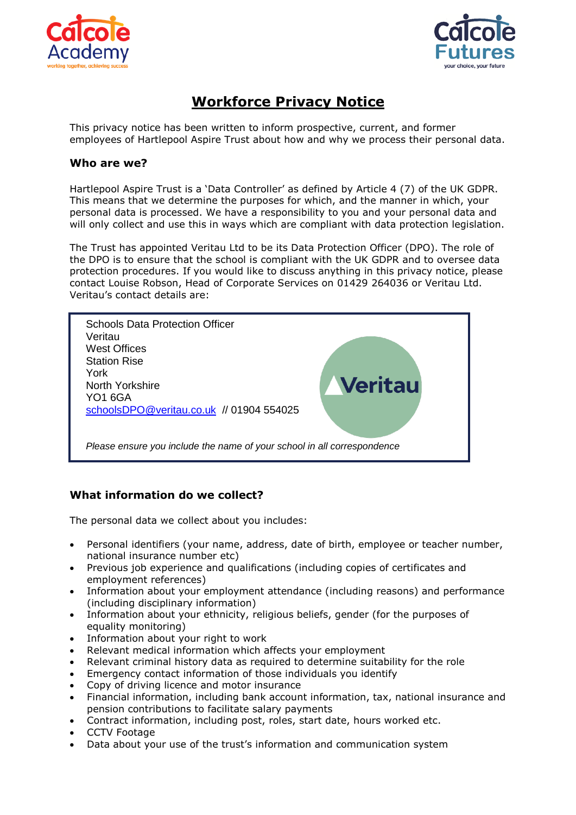



# **Workforce Privacy Notice**

This privacy notice has been written to inform prospective, current, and former employees of Hartlepool Aspire Trust about how and why we process their personal data.

## **Who are we?**

Hartlepool Aspire Trust is a 'Data Controller' as defined by Article 4 (7) of the UK GDPR. This means that we determine the purposes for which, and the manner in which, your personal data is processed. We have a responsibility to you and your personal data and will only collect and use this in ways which are compliant with data protection legislation.

The Trust has appointed Veritau Ltd to be its Data Protection Officer (DPO). The role of the DPO is to ensure that the school is compliant with the UK GDPR and to oversee data protection procedures. If you would like to discuss anything in this privacy notice, please contact Louise Robson, Head of Corporate Services on 01429 264036 or Veritau Ltd. Veritau's contact details are:



# **What information do we collect?**

The personal data we collect about you includes:

- Personal identifiers (your name, address, date of birth, employee or teacher number, national insurance number etc)
- Previous job experience and qualifications (including copies of certificates and employment references)
- Information about your employment attendance (including reasons) and performance (including disciplinary information)
- Information about your ethnicity, religious beliefs, gender (for the purposes of equality monitoring)
- Information about your right to work
- Relevant medical information which affects your employment
- Relevant criminal history data as required to determine suitability for the role
- Emergency contact information of those individuals you identify
- Copy of driving licence and motor insurance
- Financial information, including bank account information, tax, national insurance and pension contributions to facilitate salary payments
- Contract information, including post, roles, start date, hours worked etc.
- CCTV Footage
- Data about your use of the trust's information and communication system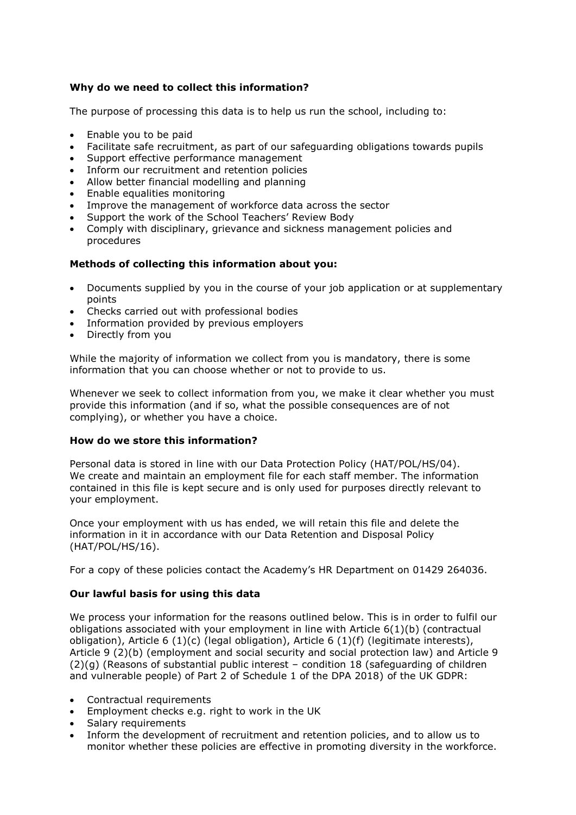## **Why do we need to collect this information?**

The purpose of processing this data is to help us run the school, including to:

- Enable you to be paid
- Facilitate safe recruitment, as part of our safeguarding obligations towards pupils
- Support effective performance management
- Inform our recruitment and retention policies
- Allow better financial modelling and planning
- Enable equalities monitoring
- Improve the management of workforce data across the sector
- Support the work of the School Teachers' Review Body
- Comply with disciplinary, grievance and sickness management policies and procedures

## **Methods of collecting this information about you:**

- Documents supplied by you in the course of your job application or at supplementary points
- Checks carried out with professional bodies
- Information provided by previous employers
- Directly from you

While the majority of information we collect from you is mandatory, there is some information that you can choose whether or not to provide to us.

Whenever we seek to collect information from you, we make it clear whether you must provide this information (and if so, what the possible consequences are of not complying), or whether you have a choice.

#### **How do we store this information?**

Personal data is stored in line with our Data Protection Policy (HAT/POL/HS/04). We create and maintain an employment file for each staff member. The information contained in this file is kept secure and is only used for purposes directly relevant to your employment.

Once your employment with us has ended, we will retain this file and delete the information in it in accordance with our Data Retention and Disposal Policy (HAT/POL/HS/16).

For a copy of these policies contact the Academy's HR Department on 01429 264036.

#### **Our lawful basis for using this data**

We process your information for the reasons outlined below. This is in order to fulfil our obligations associated with your employment in line with Article 6(1)(b) (contractual obligation), Article 6 (1)(c) (legal obligation), Article 6 (1)(f) (legitimate interests), Article 9 (2)(b) (employment and social security and social protection law) and Article 9 (2)(g) (Reasons of substantial public interest – condition 18 (safeguarding of children and vulnerable people) of Part 2 of Schedule 1 of the DPA 2018) of the UK GDPR:

- Contractual requirements
- Employment checks e.g. right to work in the UK
- Salary requirements
- Inform the development of recruitment and retention policies, and to allow us to monitor whether these policies are effective in promoting diversity in the workforce.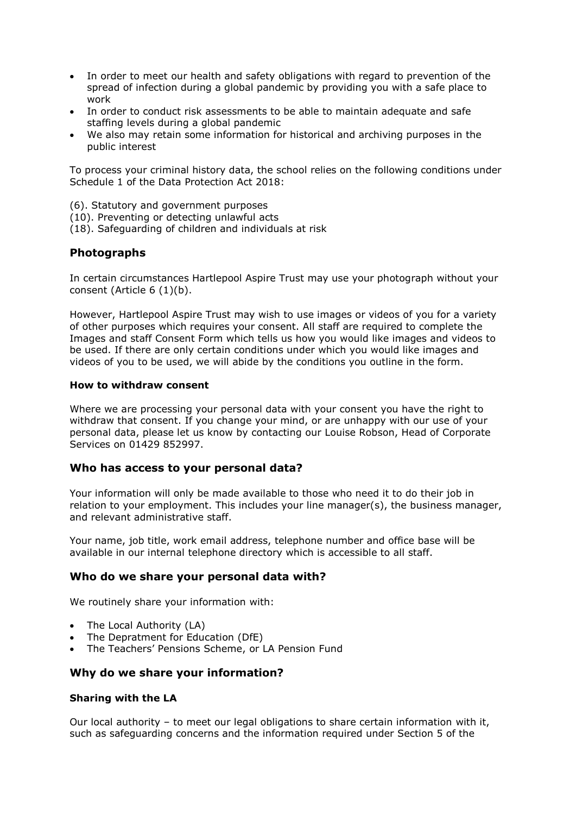- In order to meet our health and safety obligations with regard to prevention of the spread of infection during a global pandemic by providing you with a safe place to work
- In order to conduct risk assessments to be able to maintain adequate and safe staffing levels during a global pandemic
- We also may retain some information for historical and archiving purposes in the public interest

To process your criminal history data, the school relies on the following conditions under Schedule 1 of the Data Protection Act 2018:

(6). Statutory and government purposes

- (10). Preventing or detecting unlawful acts
- (18). Safeguarding of children and individuals at risk

#### **Photographs**

In certain circumstances Hartlepool Aspire Trust may use your photograph without your consent (Article 6 (1)(b).

However, Hartlepool Aspire Trust may wish to use images or videos of you for a variety of other purposes which requires your consent. All staff are required to complete the Images and staff Consent Form which tells us how you would like images and videos to be used. If there are only certain conditions under which you would like images and videos of you to be used, we will abide by the conditions you outline in the form.

#### **How to withdraw consent**

Where we are processing your personal data with your consent you have the right to withdraw that consent. If you change your mind, or are unhappy with our use of your personal data, please let us know by contacting our Louise Robson, Head of Corporate Services on 01429 852997.

#### **Who has access to your personal data?**

Your information will only be made available to those who need it to do their job in relation to your employment. This includes your line manager(s), the business manager, and relevant administrative staff.

Your name, job title, work email address, telephone number and office base will be available in our internal telephone directory which is accessible to all staff.

#### **Who do we share your personal data with?**

We routinely share your information with:

- The Local Authority (LA)
- The Depratment for Education (DfE)
- The Teachers' Pensions Scheme, or LA Pension Fund

#### **Why do we share your information?**

#### **Sharing with the LA**

Our local authority – to meet our legal obligations to share certain information with it, such as safeguarding concerns and the information required under Section 5 of the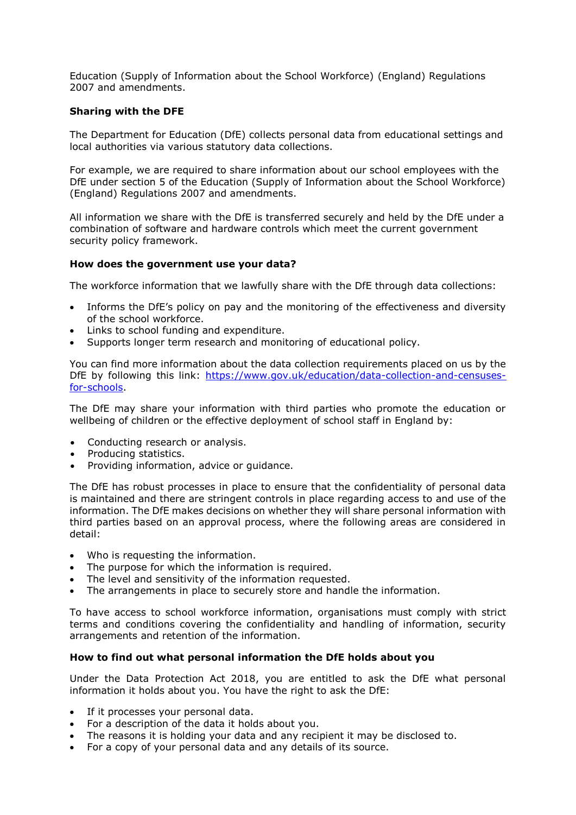Education (Supply of Information about the School Workforce) (England) Regulations 2007 and amendments.

#### **Sharing with the DFE**

The Department for Education (DfE) collects personal data from educational settings and local authorities via various statutory data collections.

For example, we are required to share information about our school employees with the DfE under section 5 of the Education (Supply of Information about the School Workforce) (England) Regulations 2007 and amendments.

All information we share with the DfE is transferred securely and held by the DfE under a combination of software and hardware controls which meet the current government security policy framework.

#### **How does the government use your data?**

The workforce information that we lawfully share with the DfE through data collections:

- Informs the DfE's policy on pay and the monitoring of the effectiveness and diversity of the school workforce.
- Links to school funding and expenditure.
- Supports longer term research and monitoring of educational policy.

You can find more information about the data collection requirements placed on us by the DfE by following this link: [https://www.gov.uk/education/data-collection-and-censuses](https://www.gov.uk/education/data-collection-and-censuses-for-schools)[for-schools.](https://www.gov.uk/education/data-collection-and-censuses-for-schools)

The DfE may share your information with third parties who promote the education or wellbeing of children or the effective deployment of school staff in England by:

- Conducting research or analysis.
- Producing statistics.
- Providing information, advice or guidance.

The DfE has robust processes in place to ensure that the confidentiality of personal data is maintained and there are stringent controls in place regarding access to and use of the information. The DfE makes decisions on whether they will share personal information with third parties based on an approval process, where the following areas are considered in detail:

- Who is requesting the information.
- The purpose for which the information is required.
- The level and sensitivity of the information requested.
- The arrangements in place to securely store and handle the information.

To have access to school workforce information, organisations must comply with strict terms and conditions covering the confidentiality and handling of information, security arrangements and retention of the information.

#### **How to find out what personal information the DfE holds about you**

Under the Data Protection Act 2018, you are entitled to ask the DfE what personal information it holds about you. You have the right to ask the DfE:

- If it processes your personal data.
- For a description of the data it holds about you.
- The reasons it is holding your data and any recipient it may be disclosed to.
- For a copy of your personal data and any details of its source.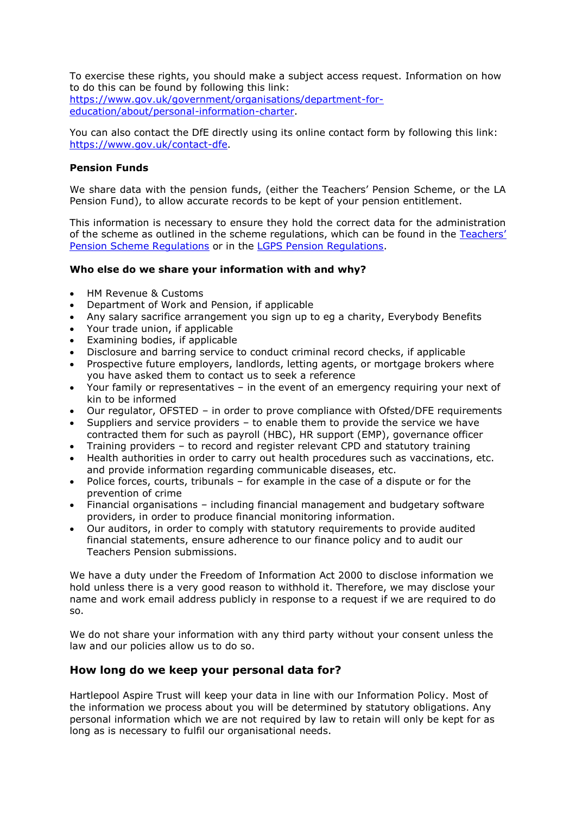To exercise these rights, you should make a subject access request. Information on how to do this can be found by following this link: [https://www.gov.uk/government/organisations/department-for](https://www.gov.uk/government/organisations/department-for-education/about/personal-information-charter)[education/about/personal-information-charter.](https://www.gov.uk/government/organisations/department-for-education/about/personal-information-charter)

You can also contact the DfE directly using its online contact form by following this link: [https://www.gov.uk/contact-dfe.](https://www.gov.uk/contact-dfe)

#### **Pension Funds**

We share data with the pension funds, (either the Teachers' Pension Scheme, or the LA Pension Fund), to allow accurate records to be kept of your pension entitlement.

This information is necessary to ensure they hold the correct data for the administration of the scheme as outlined in the scheme regulations, which can be found in the [Teachers'](https://www.teacherspensions.co.uk/public/legal.aspx)  [Pension Scheme Regulations](https://www.teacherspensions.co.uk/public/legal.aspx) or in the [LGPS Pension Regulations.](https://www.lgpsregs.org/)

#### **Who else do we share your information with and why?**

- HM Revenue & Customs
- Department of Work and Pension, if applicable
- Any salary sacrifice arrangement you sign up to eg a charity, Everybody Benefits
- Your trade union, if applicable
- Examining bodies, if applicable
- Disclosure and barring service to conduct criminal record checks, if applicable
- Prospective future employers, landlords, letting agents, or mortgage brokers where you have asked them to contact us to seek a reference
- Your family or representatives in the event of an emergency requiring your next of kin to be informed
- Our regulator, OFSTED in order to prove compliance with Ofsted/DFE requirements
- Suppliers and service providers to enable them to provide the service we have contracted them for such as payroll (HBC), HR support (EMP), governance officer
- Training providers to record and register relevant CPD and statutory training
- Health authorities in order to carry out health procedures such as vaccinations, etc. and provide information regarding communicable diseases, etc.
- Police forces, courts, tribunals for example in the case of a dispute or for the prevention of crime
- Financial organisations including financial management and budgetary software providers, in order to produce financial monitoring information.
- Our auditors, in order to comply with statutory requirements to provide audited financial statements, ensure adherence to our finance policy and to audit our Teachers Pension submissions.

We have a duty under the Freedom of Information Act 2000 to disclose information we hold unless there is a very good reason to withhold it. Therefore, we may disclose your name and work email address publicly in response to a request if we are required to do so.

We do not share your information with any third party without your consent unless the law and our policies allow us to do so.

## **How long do we keep your personal data for?**

Hartlepool Aspire Trust will keep your data in line with our Information Policy. Most of the information we process about you will be determined by statutory obligations. Any personal information which we are not required by law to retain will only be kept for as long as is necessary to fulfil our organisational needs.